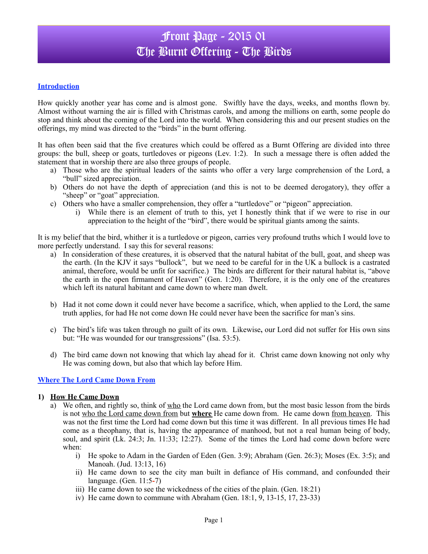# Front Page - 2015 01 The Burnt Offering - The Birds

### **Introduction**

How quickly another year has come and is almost gone. Swiftly have the days, weeks, and months flown by. Almost without warning the air is filled with Christmas carols, and among the millions on earth, some people do stop and think about the coming of the Lord into the world. When considering this and our present studies on the offerings, my mind was directed to the "birds" in the burnt offering.

It has often been said that the five creatures which could be offered as a Burnt Offering are divided into three groups: the bull, sheep or goats, turtledoves or pigeons (Lev. 1:2). In such a message there is often added the statement that in worship there are also three groups of people.

- a) Those who are the spiritual leaders of the saints who offer a very large comprehension of the Lord, a "bull" sized appreciation.
- b) Others do not have the depth of appreciation (and this is not to be deemed derogatory), they offer a "sheep" or "goat" appreciation.
- c) Others who have a smaller comprehension, they offer a "turtledove" or "pigeon" appreciation.
	- i) While there is an element of truth to this, yet I honestly think that if we were to rise in our appreciation to the height of the "bird", there would be spiritual giants among the saints.

It is my belief that the bird, whither it is a turtledove or pigeon, carries very profound truths which I would love to more perfectly understand. I say this for several reasons:

- a) In consideration of these creatures, it is observed that the natural habitat of the bull, goat, and sheep was the earth. (In the KJV it says "bullock", but we need to be careful for in the UK a bullock is a castrated animal, therefore, would be unfit for sacrifice.) The birds are different for their natural habitat is, "above the earth in the open firmament of Heaven" (Gen. 1:20). Therefore, it is the only one of the creatures which left its natural habitant and came down to where man dwelt.
- b) Had it not come down it could never have become a sacrifice, which, when applied to the Lord, the same truth applies, for had He not come down He could never have been the sacrifice for man's sins.
- c) The bird's life was taken through no guilt of its own. Likewise**,** our Lord did not suffer for His own sins but: "He was wounded for our transgressions" (Isa. 53:5).
- d) The bird came down not knowing that which lay ahead for it. Christ came down knowing not only why He was coming down, but also that which lay before Him.

### **Where The Lord Came Down From**

### **1) How He Came Down**

- a) We often, and rightly so, think of who the Lord came down from, but the most basic lesson from the birds is not who the Lord came down from but **where** He came down from. He came down from heaven. This was not the first time the Lord had come down but this time it was different. In all previous times He had come as a theophany, that is, having the appearance of manhood, but not a real human being of body, soul, and spirit (Lk. 24:3; Jn. 11:33; 12:27). Some of the times the Lord had come down before were when:
	- i) He spoke to Adam in the Garden of Eden (Gen. 3:9); Abraham (Gen. 26:3); Moses (Ex. 3:5); and Manoah. (Jud. 13:13, 16)
	- ii) He came down to see the city man built in defiance of His command, and confounded their language. (Gen. 11:5**-**7)
	- iii) He came down to see the wickedness of the cities of the plain. (Gen. 18:21)
	- iv) He came down to commune with Abraham (Gen.  $18:1, 9, 13-15, 17, 23-33$ )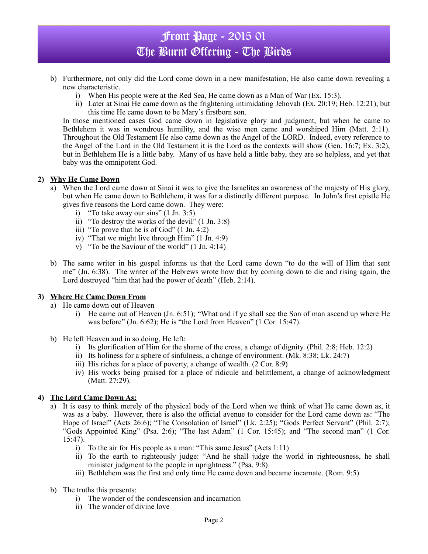# Front Page - 2015 01 The Burnt Offering - The Birds

- b) Furthermore, not only did the Lord come down in a new manifestation, He also came down revealing a new characteristic.
	- i) When His people were at the Red Sea, He came down as a Man of War (Ex. 15:3).
	- ii) Later at Sinai He came down as the frightening intimidating Jehovah (Ex. 20:19; Heb. 12:21), but this time He came down to be Mary's firstborn son.

In those mentioned cases God came down in legislative glory and judgment, but when he came to Bethlehem it was in wondrous humility, and the wise men came and worshiped Him (Matt. 2:11). Throughout the Old Testament He also came down as the Angel of the LORD. Indeed, every reference to the Angel of the Lord in the Old Testament it is the Lord as the contexts will show (Gen. 16:7; Ex. 3:2), but in Bethlehem He is a little baby. Many of us have held a little baby, they are so helpless, and yet that baby was the omnipotent God.

### **2) Why He Came Down**

- a) When the Lord came down at Sinai it was to give the Israelites an awareness of the majesty of His glory, but when He came down to Bethlehem, it was for a distinctly different purpose. In John's first epistle He gives five reasons the Lord came down. They were:
	- i) "To take away our sins"  $(1 \text{ Jn. } 3:5)$
	- ii) "To destroy the works of the devil" (1 Jn. 3:8)
	- iii) "To prove that he is of God" (1 Jn. 4:2)
	- iv) "That we might live through Him" (1 Jn. 4:9)
	- v) "To be the Saviour of the world" (1 Jn. 4:14)
- b) The same writer in his gospel informs us that the Lord came down "to do the will of Him that sent me" (Jn. 6:38). The writer of the Hebrews wrote how that by coming down to die and rising again, the Lord destroyed "him that had the power of death" (Heb. 2:14).

### **3) Where He Came Down From**

- a) He came down out of Heaven
	- i) He came out of Heaven (Jn. 6:51); "What and if ye shall see the Son of man ascend up where He was before" (Jn. 6:62); He is "the Lord from Heaven" (1 Cor. 15:47).
- b) He left Heaven and in so doing, He left:
	- i) Its glorification of Him for the shame of the cross, a change of dignity. (Phil. 2:8; Heb. 12:2)
	- ii) Its holiness for a sphere of sinfulness, a change of environment. (Mk. 8:38; Lk. 24:7)
	- iii) His riches for a place of poverty, a change of wealth. (2 Cor. 8:9)
	- iv) His works being praised for a place of ridicule and belittlement, a change of acknowledgment (Matt. 27:29).

### **4) The Lord Came Down As:**

- a) It is easy to think merely of the physical body of the Lord when we think of what He came down as, it was as a baby. However, there is also the official avenue to consider for the Lord came down as: "The Hope of Israel" (Acts 26:6); "The Consolation of Israel" (Lk. 2:25); "Gods Perfect Servant" (Phil. 2:7); "Gods Appointed King" (Psa. 2:6); "The last Adam" (1 Cor. 15:45); and "The second man" (1 Cor. 15:47).
	- i) To the air for His people as a man: "This same Jesus" (Acts 1:11)
	- ii) To the earth to righteously judge: "And he shall judge the world in righteousness, he shall minister judgment to the people in uprightness." (Psa. 9:8)
	- iii) Bethlehem was the first and only time He came down and became incarnate. (Rom. 9:5)
- b) The truths this presents:
	- i) The wonder of the condescension and incarnation
	- ii) The wonder of divine love